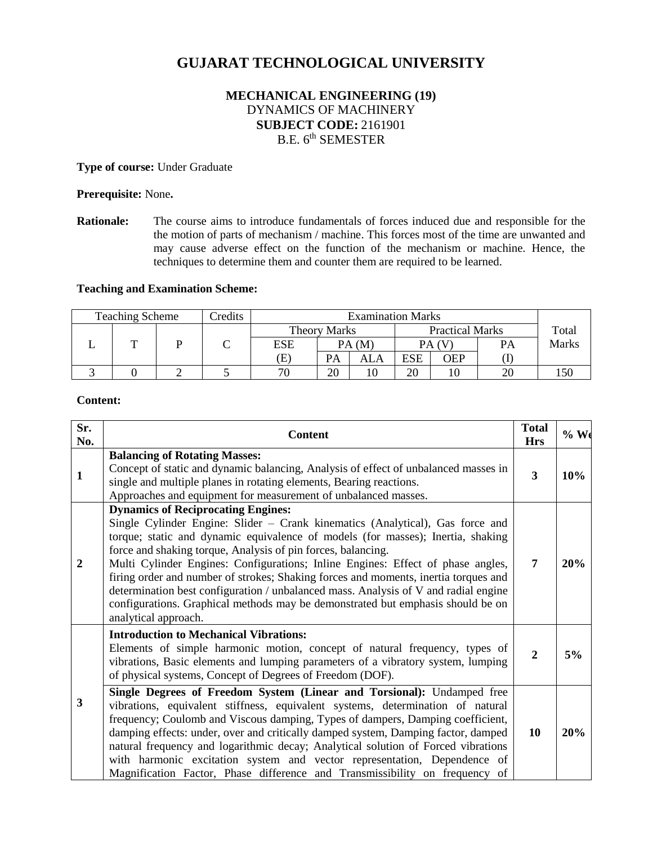# **GUJARAT TECHNOLOGICAL UNIVERSITY**

## **MECHANICAL ENGINEERING (19)** DYNAMICS OF MACHINERY **SUBJECT CODE:** 2161901 B.E. 6<sup>th</sup> SEMESTER

**Type of course:** Under Graduate

#### **Prerequisite:** None**.**

**Rationale:** The course aims to introduce fundamentals of forces induced due and responsible for the the motion of parts of mechanism / machine. This forces most of the time are unwanted and may cause adverse effect on the function of the mechanism or machine. Hence, the techniques to determine them and counter them are required to be learned.

## **Teaching and Examination Scheme:**

|  | <b>Teaching Scheme</b> |  | Credits |                     |       |     | <b>Examination Marks</b> |     |       |              |
|--|------------------------|--|---------|---------------------|-------|-----|--------------------------|-----|-------|--------------|
|  |                        |  |         | <b>Theory Marks</b> |       |     | <b>Practical Marks</b>   |     | Total |              |
|  |                        |  |         | <b>ESE</b>          | PA(M) |     | PA (V                    |     | PA    | <b>Marks</b> |
|  |                        |  |         | Œ                   | PA    | ALA | ESE                      | OEP |       |              |
|  |                        |  |         | 70                  | 20    |     | 20                       | 10  | 20    |              |

#### **Content:**

| Sr.<br>No.     | <b>Content</b>                                                                                                                                                                                                                                                                                                                                                                                                                                                                                                                                                                                                                                            | <b>Total</b><br><b>Hrs</b> | $%$ We |
|----------------|-----------------------------------------------------------------------------------------------------------------------------------------------------------------------------------------------------------------------------------------------------------------------------------------------------------------------------------------------------------------------------------------------------------------------------------------------------------------------------------------------------------------------------------------------------------------------------------------------------------------------------------------------------------|----------------------------|--------|
| $\mathbf{1}$   | <b>Balancing of Rotating Masses:</b><br>Concept of static and dynamic balancing, Analysis of effect of unbalanced masses in<br>single and multiple planes in rotating elements, Bearing reactions.<br>Approaches and equipment for measurement of unbalanced masses.                                                                                                                                                                                                                                                                                                                                                                                      | 3                          | 10%    |
| $\overline{2}$ | <b>Dynamics of Reciprocating Engines:</b><br>Single Cylinder Engine: Slider – Crank kinematics (Analytical), Gas force and<br>torque; static and dynamic equivalence of models (for masses); Inertia, shaking<br>force and shaking torque, Analysis of pin forces, balancing.<br>Multi Cylinder Engines: Configurations; Inline Engines: Effect of phase angles,<br>firing order and number of strokes; Shaking forces and moments, inertia torques and<br>determination best configuration / unbalanced mass. Analysis of V and radial engine<br>configurations. Graphical methods may be demonstrated but emphasis should be on<br>analytical approach. | 7                          | 20%    |
| 3              | <b>Introduction to Mechanical Vibrations:</b><br>Elements of simple harmonic motion, concept of natural frequency, types of<br>vibrations, Basic elements and lumping parameters of a vibratory system, lumping<br>of physical systems, Concept of Degrees of Freedom (DOF).                                                                                                                                                                                                                                                                                                                                                                              | $\overline{2}$             | 5%     |
|                | Single Degrees of Freedom System (Linear and Torsional): Undamped free<br>vibrations, equivalent stiffness, equivalent systems, determination of natural<br>frequency; Coulomb and Viscous damping, Types of dampers, Damping coefficient,<br>damping effects: under, over and critically damped system, Damping factor, damped<br>natural frequency and logarithmic decay; Analytical solution of Forced vibrations<br>with harmonic excitation system and vector representation, Dependence of<br>Magnification Factor, Phase difference and Transmissibility on frequency of                                                                           | 10                         | 20%    |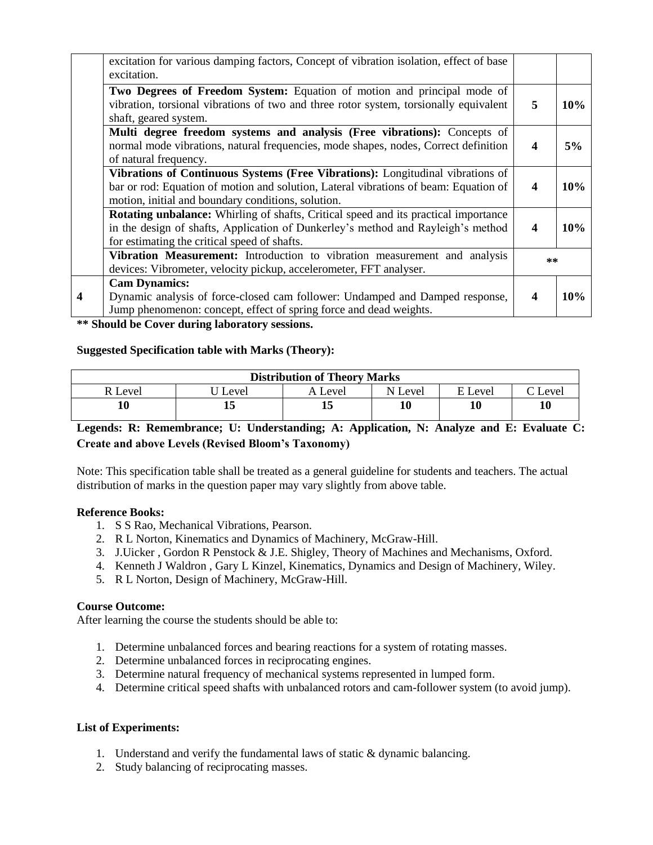|   | excitation for various damping factors, Concept of vibration isolation, effect of base<br>excitation.                                                                                                                          |                  |     |  |
|---|--------------------------------------------------------------------------------------------------------------------------------------------------------------------------------------------------------------------------------|------------------|-----|--|
|   | Two Degrees of Freedom System: Equation of motion and principal mode of<br>vibration, torsional vibrations of two and three rotor system, torsionally equivalent<br>shaft, geared system.                                      | 5                | 10% |  |
|   | Multi degree freedom systems and analysis (Free vibrations): Concepts of<br>normal mode vibrations, natural frequencies, mode shapes, nodes, Correct definition<br>of natural frequency.                                       | 4                | 5%  |  |
|   | Vibrations of Continuous Systems (Free Vibrations): Longitudinal vibrations of<br>bar or rod: Equation of motion and solution, Lateral vibrations of beam: Equation of<br>motion, initial and boundary conditions, solution.   | $\boldsymbol{4}$ | 10% |  |
|   | <b>Rotating unbalance:</b> Whirling of shafts, Critical speed and its practical importance<br>in the design of shafts, Application of Dunkerley's method and Rayleigh's method<br>for estimating the critical speed of shafts. | $\boldsymbol{4}$ | 10% |  |
|   | Vibration Measurement: Introduction to vibration measurement and analysis<br>devices: Vibrometer, velocity pickup, accelerometer, FFT analyser.                                                                                |                  |     |  |
| 4 | <b>Cam Dynamics:</b><br>Dynamic analysis of force-closed cam follower: Undamped and Damped response,<br>Jump phenomenon: concept, effect of spring force and dead weights.                                                     | $\boldsymbol{4}$ | 10% |  |

**\*\* Should be Cover during laboratory sessions.**

#### **Suggested Specification table with Marks (Theory):**

| <b>Distribution of Theory Marks</b> |       |         |         |         |                 |  |  |  |
|-------------------------------------|-------|---------|---------|---------|-----------------|--|--|--|
| R Level                             | Level | A Level | N Level | E Level | $\degree$ Level |  |  |  |
|                                     |       |         | 10      | 10      | 10              |  |  |  |

## **Legends: R: Remembrance; U: Understanding; A: Application, N: Analyze and E: Evaluate C: Create and above Levels (Revised Bloom's Taxonomy)**

Note: This specification table shall be treated as a general guideline for students and teachers. The actual distribution of marks in the question paper may vary slightly from above table.

#### **Reference Books:**

- 1. S S Rao, Mechanical Vibrations, Pearson.
- 2. R L Norton, Kinematics and Dynamics of Machinery, McGraw-Hill.
- 3. J.Uicker , Gordon R Penstock & J.E. Shigley, Theory of Machines and Mechanisms, Oxford.
- 4. Kenneth J Waldron , Gary L Kinzel, Kinematics, Dynamics and Design of Machinery, Wiley.
- 5. R L Norton, Design of Machinery, McGraw-Hill.

#### **Course Outcome:**

After learning the course the students should be able to:

- 1. Determine unbalanced forces and bearing reactions for a system of rotating masses.
- 2. Determine unbalanced forces in reciprocating engines.
- 3. Determine natural frequency of mechanical systems represented in lumped form.
- 4. Determine critical speed shafts with unbalanced rotors and cam-follower system (to avoid jump).

## **List of Experiments:**

- 1. Understand and verify the fundamental laws of static & dynamic balancing.
- 2. Study balancing of reciprocating masses.